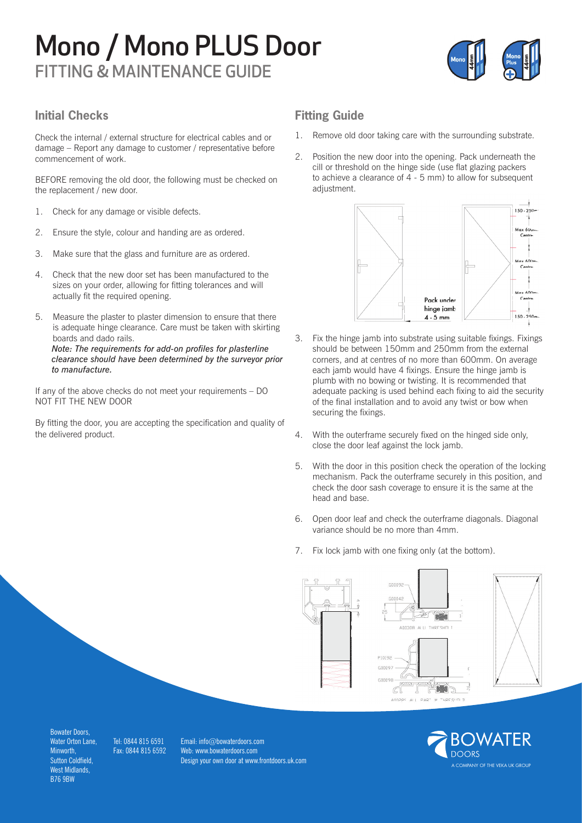# Mono / Mono PLUS Door FITTING & MAINTENANCE GUIDE



### **Initial Checks**

Check the internal / external structure for electrical cables and or damage – Report any damage to customer / representative before commencement of work.

BEFORE removing the old door, the following must be checked on the replacement / new door.

- 1. Check for any damage or visible defects.
- 2. Ensure the style, colour and handing are as ordered.
- 3. Make sure that the glass and furniture are as ordered.
- 4. Check that the new door set has been manufactured to the sizes on your order, allowing for fitting tolerances and will actually fit the required opening.
- 5. Measure the plaster to plaster dimension to ensure that there is adequate hinge clearance. Care must be taken with skirting boards and dado rails. *Note: The requirements for add-on profiles for plasterline clearance should have been determined by the surveyor prior to manufacture.*

If any of the above checks do not meet your requirements – DO NOT FIT THE NEW DOOR

By fitting the door, you are accepting the specification and quality of the delivered product.

## **Fitting Guide**

- 1. Remove old door taking care with the surrounding substrate.
- 2. Position the new door into the opening. Pack underneath the cill or threshold on the hinge side (use flat glazing packers to achieve a clearance of 4 - 5 mm) to allow for subsequent adjustment.



- 3. Fix the hinge jamb into substrate using suitable fixings. Fixings should be between 150mm and 250mm from the external corners, and at centres of no more than 600mm. On average each jamb would have 4 fixings. Ensure the hinge jamb is plumb with no bowing or twisting. It is recommended that adequate packing is used behind each fixing to aid the security of the final installation and to avoid any twist or bow when securing the fixings.
- 4. With the outerframe securely fixed on the hinged side only, close the door leaf against the lock jamb.
- 5. With the door in this position check the operation of the locking mechanism. Pack the outerframe securely in this position, and check the door sash coverage to ensure it is the same at the head and base.
- 6. Open door leaf and check the outerframe diagonals. Diagonal variance should be no more than 4mm.
- 7. Fix lock jamb with one fixing only (at the bottom).





MPANY OF THE VEKA UK GROUP

Bowater Doors, Water Orton Lane, **Minworth** Sutton Coldfield, West Midlands, B76 9BW

Tel: 0844 815 6591 Fax: 0844 815 6592

Email: info@bowaterdoors.com Web: www.bowaterdoors.com Design your own door at www.frontdoors.uk.com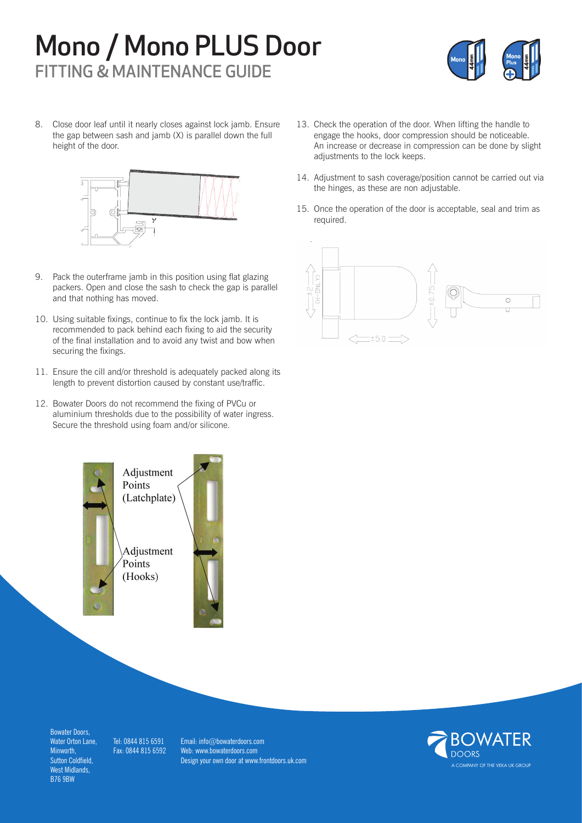# Mono / Mono PLUS Door FITTING & MAINTENANCE GUIDE



8. Close door leaf until it nearly closes against lock jamb. Ensure the gap between sash and jamb (X) is parallel down the full height of the door.



- 9. Pack the outerframe jamb in this position using flat glazing packers. Open and close the sash to check the gap is parallel and that nothing has moved.
- 10. Using suitable fixings, continue to fix the lock jamb. It is recommended to pack behind each fixing to aid the security of the final installation and to avoid any twist and bow when securing the fixings.
- 11. Ensure the cill and/or threshold is adequately packed along its length to prevent distortion caused by constant use/traffic.
- 12. Bowater Doors do not recommend the fixing of PVCu or aluminium thresholds due to the possibility of water ingress. Secure the threshold using foam and/or silicone.



- 13. Check the operation of the door. When lifting the handle to engage the hooks, door compression should be noticeable. An increase or decrease in compression can be done by slight adjustments to the lock keeps.
- 14. Adjustment to sash coverage/position cannot be carried out via the hinges, as these are non adjustable.
- 15. Once the operation of the door is acceptable, seal and trim as required.



Bowater Doors, Water Orton Lane, Minworth, Sutton Coldfield, West Midlands, B76 9BW

Tel: 0844 815 6591 Fax: 0844 815 6592

Email: info@bowaterdoors.com Web: www.bowaterdoors.com Design your own door at www.frontdoors.uk.com